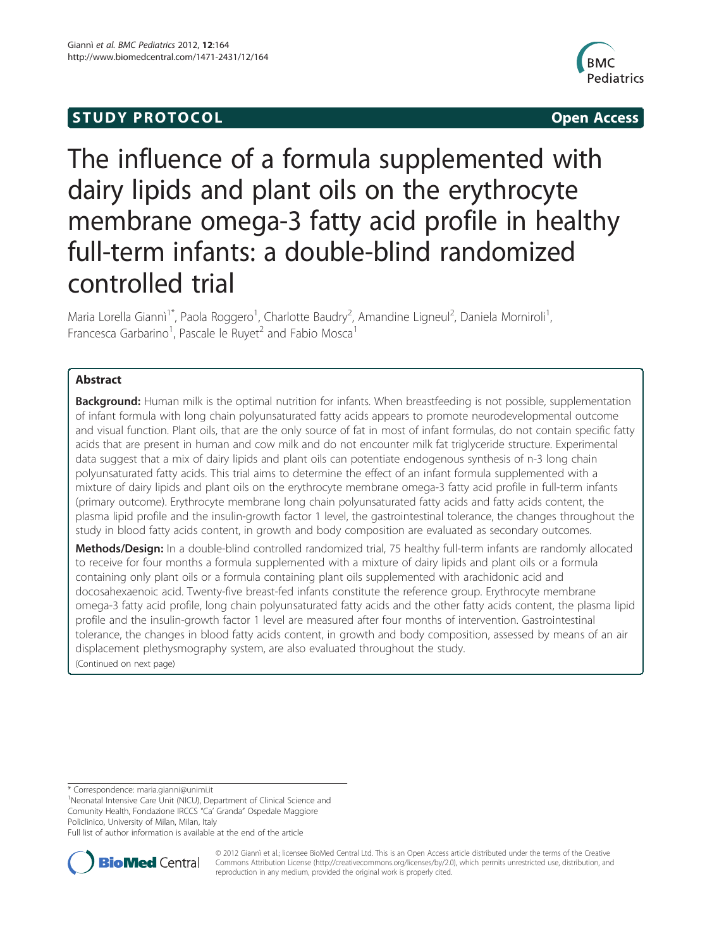# **STUDY PROTOCOL CONSUMING THE STUDY PROTOCOL**



# The influence of a formula supplemented with dairy lipids and plant oils on the erythrocyte membrane omega-3 fatty acid profile in healthy full-term infants: a double-blind randomized controlled trial

Maria Lorella Giannì<sup>1\*</sup>, Paola Roggero<sup>1</sup>, Charlotte Baudry<sup>2</sup>, Amandine Ligneul<sup>2</sup>, Daniela Morniroli<sup>1</sup> , Francesca Garbarino<sup>1</sup>, Pascale le Ruyet<sup>2</sup> and Fabio Mosca<sup>1</sup>

# Abstract

**Background:** Human milk is the optimal nutrition for infants. When breastfeeding is not possible, supplementation of infant formula with long chain polyunsaturated fatty acids appears to promote neurodevelopmental outcome and visual function. Plant oils, that are the only source of fat in most of infant formulas, do not contain specific fatty acids that are present in human and cow milk and do not encounter milk fat triglyceride structure. Experimental data suggest that a mix of dairy lipids and plant oils can potentiate endogenous synthesis of n-3 long chain polyunsaturated fatty acids. This trial aims to determine the effect of an infant formula supplemented with a mixture of dairy lipids and plant oils on the erythrocyte membrane omega-3 fatty acid profile in full-term infants (primary outcome). Erythrocyte membrane long chain polyunsaturated fatty acids and fatty acids content, the plasma lipid profile and the insulin-growth factor 1 level, the gastrointestinal tolerance, the changes throughout the study in blood fatty acids content, in growth and body composition are evaluated as secondary outcomes.

Methods/Design: In a double-blind controlled randomized trial, 75 healthy full-term infants are randomly allocated to receive for four months a formula supplemented with a mixture of dairy lipids and plant oils or a formula containing only plant oils or a formula containing plant oils supplemented with arachidonic acid and docosahexaenoic acid. Twenty-five breast-fed infants constitute the reference group. Erythrocyte membrane omega-3 fatty acid profile, long chain polyunsaturated fatty acids and the other fatty acids content, the plasma lipid profile and the insulin-growth factor 1 level are measured after four months of intervention. Gastrointestinal tolerance, the changes in blood fatty acids content, in growth and body composition, assessed by means of an air displacement plethysmography system, are also evaluated throughout the study. (Continued on next page)

\* Correspondence: [maria.gianni@unimi.it](mailto:maria.gianni@unimi.it) <sup>1</sup>

<sup>1</sup>Neonatal Intensive Care Unit (NICU), Department of Clinical Science and Comunity Health, Fondazione IRCCS "Ca' Granda" Ospedale Maggiore Policlinico, University of Milan, Milan, Italy

Full list of author information is available at the end of the article



© 2012 Giannì et al.; licensee BioMed Central Ltd. This is an Open Access article distributed under the terms of the Creative Commons Attribution License [\(http://creativecommons.org/licenses/by/2.0\)](http://creativecommons.org/licenses/by/2.0), which permits unrestricted use, distribution, and reproduction in any medium, provided the original work is properly cited.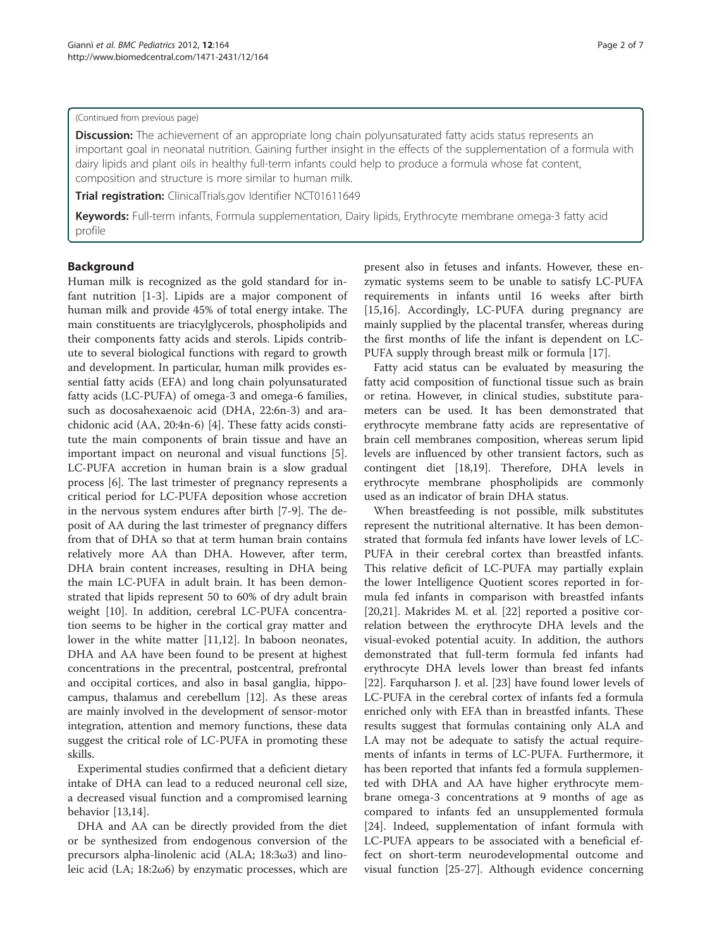#### (Continued from previous page)

**Discussion:** The achievement of an appropriate long chain polyunsaturated fatty acids status represents an important goal in neonatal nutrition. Gaining further insight in the effects of the supplementation of a formula with dairy lipids and plant oils in healthy full-term infants could help to produce a formula whose fat content, composition and structure is more similar to human milk.

Trial registration: ClinicalTrials.gov Identifier NCT01611649

Keywords: Full-term infants, Formula supplementation, Dairy lipids, Erythrocyte membrane omega-3 fatty acid profile

# Background

Human milk is recognized as the gold standard for infant nutrition [\[1-3](#page-5-0)]. Lipids are a major component of human milk and provide 45% of total energy intake. The main constituents are triacylglycerols, phospholipids and their components fatty acids and sterols. Lipids contribute to several biological functions with regard to growth and development. In particular, human milk provides essential fatty acids (EFA) and long chain polyunsaturated fatty acids (LC-PUFA) of omega-3 and omega-6 families, such as docosahexaenoic acid (DHA, 22:6n-3) and arachidonic acid (AA, 20:4n-6) [\[4](#page-5-0)]. These fatty acids constitute the main components of brain tissue and have an important impact on neuronal and visual functions [\[5](#page-5-0)]. LC-PUFA accretion in human brain is a slow gradual process [[6](#page-5-0)]. The last trimester of pregnancy represents a critical period for LC-PUFA deposition whose accretion in the nervous system endures after birth [[7-9\]](#page-5-0). The deposit of AA during the last trimester of pregnancy differs from that of DHA so that at term human brain contains relatively more AA than DHA. However, after term, DHA brain content increases, resulting in DHA being the main LC-PUFA in adult brain. It has been demonstrated that lipids represent 50 to 60% of dry adult brain weight [\[10](#page-5-0)]. In addition, cerebral LC-PUFA concentration seems to be higher in the cortical gray matter and lower in the white matter [\[11,12](#page-5-0)]. In baboon neonates, DHA and AA have been found to be present at highest concentrations in the precentral, postcentral, prefrontal and occipital cortices, and also in basal ganglia, hippocampus, thalamus and cerebellum [[12\]](#page-5-0). As these areas are mainly involved in the development of sensor-motor integration, attention and memory functions, these data suggest the critical role of LC-PUFA in promoting these skills.

Experimental studies confirmed that a deficient dietary intake of DHA can lead to a reduced neuronal cell size, a decreased visual function and a compromised learning behavior [[13,14\]](#page-5-0).

DHA and AA can be directly provided from the diet or be synthesized from endogenous conversion of the precursors alpha-linolenic acid (ALA; 18:3ω3) and linoleic acid (LA; 18:2ω6) by enzymatic processes, which are

present also in fetuses and infants. However, these enzymatic systems seem to be unable to satisfy LC-PUFA requirements in infants until 16 weeks after birth [[15,16\]](#page-5-0). Accordingly, LC-PUFA during pregnancy are mainly supplied by the placental transfer, whereas during the first months of life the infant is dependent on LC-PUFA supply through breast milk or formula [[17\]](#page-5-0).

Fatty acid status can be evaluated by measuring the fatty acid composition of functional tissue such as brain or retina. However, in clinical studies, substitute parameters can be used. It has been demonstrated that erythrocyte membrane fatty acids are representative of brain cell membranes composition, whereas serum lipid levels are influenced by other transient factors, such as contingent diet [[18](#page-5-0),[19](#page-5-0)]. Therefore, DHA levels in erythrocyte membrane phospholipids are commonly used as an indicator of brain DHA status.

When breastfeeding is not possible, milk substitutes represent the nutritional alternative. It has been demonstrated that formula fed infants have lower levels of LC-PUFA in their cerebral cortex than breastfed infants. This relative deficit of LC-PUFA may partially explain the lower Intelligence Quotient scores reported in formula fed infants in comparison with breastfed infants [[20,21\]](#page-5-0). Makrides M. et al. [\[22\]](#page-5-0) reported a positive correlation between the erythrocyte DHA levels and the visual-evoked potential acuity. In addition, the authors demonstrated that full-term formula fed infants had erythrocyte DHA levels lower than breast fed infants [[22\]](#page-5-0). Farquharson J. et al. [[23\]](#page-5-0) have found lower levels of LC-PUFA in the cerebral cortex of infants fed a formula enriched only with EFA than in breastfed infants. These results suggest that formulas containing only ALA and LA may not be adequate to satisfy the actual requirements of infants in terms of LC-PUFA. Furthermore, it has been reported that infants fed a formula supplemented with DHA and AA have higher erythrocyte membrane omega-3 concentrations at 9 months of age as compared to infants fed an unsupplemented formula [[24\]](#page-6-0). Indeed, supplementation of infant formula with LC-PUFA appears to be associated with a beneficial effect on short-term neurodevelopmental outcome and visual function [\[25](#page-6-0)-[27\]](#page-6-0). Although evidence concerning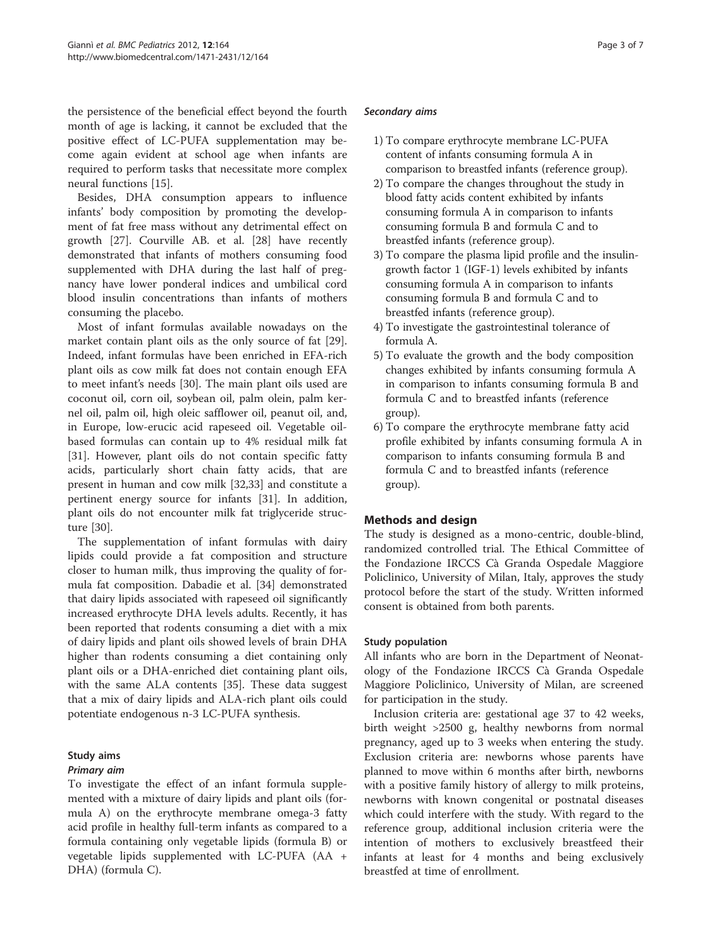the persistence of the beneficial effect beyond the fourth month of age is lacking, it cannot be excluded that the positive effect of LC-PUFA supplementation may become again evident at school age when infants are required to perform tasks that necessitate more complex neural functions [[15](#page-5-0)].

Besides, DHA consumption appears to influence infants' body composition by promoting the development of fat free mass without any detrimental effect on growth [[27\]](#page-6-0). Courville AB. et al. [[28\]](#page-6-0) have recently demonstrated that infants of mothers consuming food supplemented with DHA during the last half of pregnancy have lower ponderal indices and umbilical cord blood insulin concentrations than infants of mothers consuming the placebo.

Most of infant formulas available nowadays on the market contain plant oils as the only source of fat [\[29](#page-6-0)]. Indeed, infant formulas have been enriched in EFA-rich plant oils as cow milk fat does not contain enough EFA to meet infant's needs [\[30](#page-6-0)]. The main plant oils used are coconut oil, corn oil, soybean oil, palm olein, palm kernel oil, palm oil, high oleic safflower oil, peanut oil, and, in Europe, low-erucic acid rapeseed oil. Vegetable oilbased formulas can contain up to 4% residual milk fat [[31\]](#page-6-0). However, plant oils do not contain specific fatty acids, particularly short chain fatty acids, that are present in human and cow milk [[32,33\]](#page-6-0) and constitute a pertinent energy source for infants [\[31](#page-6-0)]. In addition, plant oils do not encounter milk fat triglyceride structure [\[30](#page-6-0)].

The supplementation of infant formulas with dairy lipids could provide a fat composition and structure closer to human milk, thus improving the quality of formula fat composition. Dabadie et al. [\[34](#page-6-0)] demonstrated that dairy lipids associated with rapeseed oil significantly increased erythrocyte DHA levels adults. Recently, it has been reported that rodents consuming a diet with a mix of dairy lipids and plant oils showed levels of brain DHA higher than rodents consuming a diet containing only plant oils or a DHA-enriched diet containing plant oils, with the same ALA contents [[35\]](#page-6-0). These data suggest that a mix of dairy lipids and ALA-rich plant oils could potentiate endogenous n-3 LC-PUFA synthesis.

# Study aims

# Primary aim

To investigate the effect of an infant formula supplemented with a mixture of dairy lipids and plant oils (formula A) on the erythrocyte membrane omega-3 fatty acid profile in healthy full-term infants as compared to a formula containing only vegetable lipids (formula B) or vegetable lipids supplemented with LC-PUFA (AA + DHA) (formula C).

#### Secondary aims

- 1) To compare erythrocyte membrane LC-PUFA content of infants consuming formula A in comparison to breastfed infants (reference group).
- 2) To compare the changes throughout the study in blood fatty acids content exhibited by infants consuming formula A in comparison to infants consuming formula B and formula C and to breastfed infants (reference group).
- 3) To compare the plasma lipid profile and the insulingrowth factor 1 (IGF-1) levels exhibited by infants consuming formula A in comparison to infants consuming formula B and formula C and to breastfed infants (reference group).
- 4) To investigate the gastrointestinal tolerance of formula A.
- 5) To evaluate the growth and the body composition changes exhibited by infants consuming formula A in comparison to infants consuming formula B and formula C and to breastfed infants (reference group).
- 6) To compare the erythrocyte membrane fatty acid profile exhibited by infants consuming formula A in comparison to infants consuming formula B and formula C and to breastfed infants (reference group).

# Methods and design

The study is designed as a mono-centric, double-blind, randomized controlled trial. The Ethical Committee of the Fondazione IRCCS Cà Granda Ospedale Maggiore Policlinico, University of Milan, Italy, approves the study protocol before the start of the study. Written informed consent is obtained from both parents.

#### Study population

All infants who are born in the Department of Neonatology of the Fondazione IRCCS Cà Granda Ospedale Maggiore Policlinico, University of Milan, are screened for participation in the study.

Inclusion criteria are: gestational age 37 to 42 weeks, birth weight >2500 g, healthy newborns from normal pregnancy, aged up to 3 weeks when entering the study. Exclusion criteria are: newborns whose parents have planned to move within 6 months after birth, newborns with a positive family history of allergy to milk proteins, newborns with known congenital or postnatal diseases which could interfere with the study. With regard to the reference group, additional inclusion criteria were the intention of mothers to exclusively breastfeed their infants at least for 4 months and being exclusively breastfed at time of enrollment.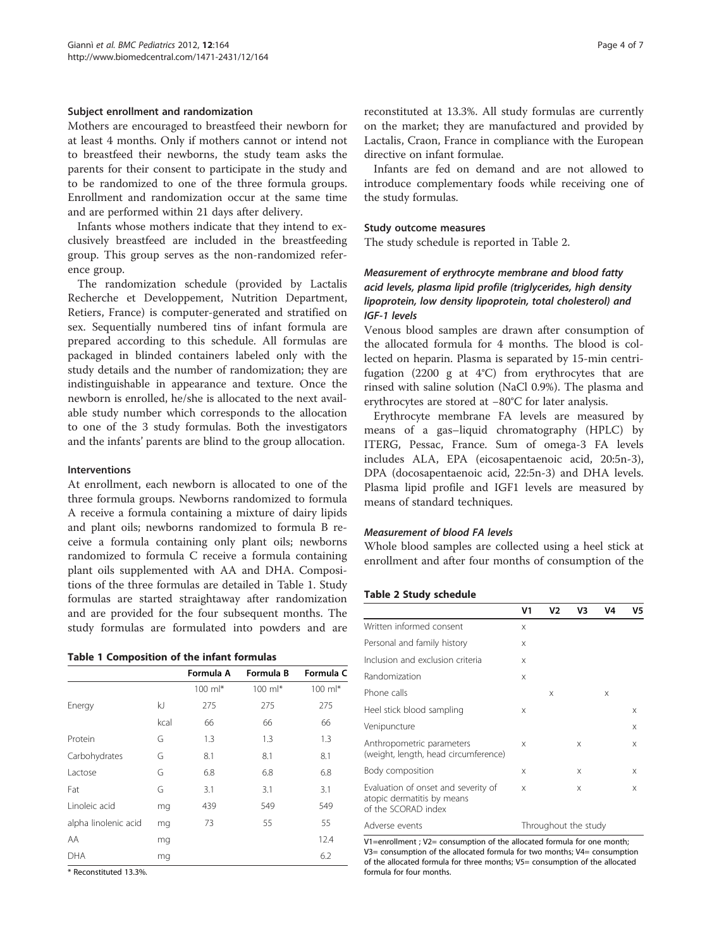#### Subject enrollment and randomization

Mothers are encouraged to breastfeed their newborn for at least 4 months. Only if mothers cannot or intend not to breastfeed their newborns, the study team asks the parents for their consent to participate in the study and to be randomized to one of the three formula groups. Enrollment and randomization occur at the same time and are performed within 21 days after delivery.

Infants whose mothers indicate that they intend to exclusively breastfeed are included in the breastfeeding group. This group serves as the non-randomized reference group.

The randomization schedule (provided by Lactalis Recherche et Developpement, Nutrition Department, Retiers, France) is computer-generated and stratified on sex. Sequentially numbered tins of infant formula are prepared according to this schedule. All formulas are packaged in blinded containers labeled only with the study details and the number of randomization; they are indistinguishable in appearance and texture. Once the newborn is enrolled, he/she is allocated to the next available study number which corresponds to the allocation to one of the 3 study formulas. Both the investigators and the infants' parents are blind to the group allocation.

#### Interventions

At enrollment, each newborn is allocated to one of the three formula groups. Newborns randomized to formula A receive a formula containing a mixture of dairy lipids and plant oils; newborns randomized to formula B receive a formula containing only plant oils; newborns randomized to formula C receive a formula containing plant oils supplemented with AA and DHA. Compositions of the three formulas are detailed in Table 1. Study formulas are started straightaway after randomization and are provided for the four subsequent months. The study formulas are formulated into powders and are

|  | <b>Table 1 Composition of the infant formulas</b> |  |  |  |
|--|---------------------------------------------------|--|--|--|
|--|---------------------------------------------------|--|--|--|

|                      |      | Formula A   | Formula B          | Formula C   |
|----------------------|------|-------------|--------------------|-------------|
|                      |      | $100$ m $*$ | $100 \text{ ml}^*$ | $100$ m $*$ |
| Energy               | kJ   | 275         | 275                | 275         |
|                      | kcal | 66          | 66                 | 66          |
| Protein              | G    | 1.3         | 1.3                | 1.3         |
| Carbohydrates        | G    | 8.1         | 8.1                | 8.1         |
| Lactose              | G    | 6.8         | 6.8                | 6.8         |
| Fat                  | G    | 3.1         | 3.1                | 3.1         |
| Linoleic acid        | mq   | 439         | 549                | 549         |
| alpha linolenic acid | mq   | 73          | 55                 | 55          |
| AA                   | mg   |             |                    | 12.4        |
| DHA                  | mq   |             |                    | 6.2         |

\* Reconstituted 13.3%.

reconstituted at 13.3%. All study formulas are currently on the market; they are manufactured and provided by Lactalis, Craon, France in compliance with the European directive on infant formulae.

Infants are fed on demand and are not allowed to introduce complementary foods while receiving one of the study formulas.

#### Study outcome measures

The study schedule is reported in Table 2.

# Measurement of erythrocyte membrane and blood fatty acid levels, plasma lipid profile (triglycerides, high density lipoprotein, low density lipoprotein, total cholesterol) and IGF-1 levels

Venous blood samples are drawn after consumption of the allocated formula for 4 months. The blood is collected on heparin. Plasma is separated by 15-min centrifugation (2200 g at 4°C) from erythrocytes that are rinsed with saline solution (NaCl 0.9%). The plasma and erythrocytes are stored at −80°C for later analysis.

Erythrocyte membrane FA levels are measured by means of a gas–liquid chromatography (HPLC) by ITERG, Pessac, France. Sum of omega-3 FA levels includes ALA, EPA (eicosapentaenoic acid, 20:5n-3), DPA (docosapentaenoic acid, 22:5n-3) and DHA levels. Plasma lipid profile and IGF1 levels are measured by means of standard techniques.

#### Measurement of blood FA levels

Whole blood samples are collected using a heel stick at enrollment and after four months of consumption of the

#### Table 2 Study schedule

|                                                                                          | V1       | V2 | V3 | V4 | V5 |
|------------------------------------------------------------------------------------------|----------|----|----|----|----|
| Written informed consent                                                                 | $\times$ |    |    |    |    |
| Personal and family history                                                              | $\times$ |    |    |    |    |
| Inclusion and exclusion criteria                                                         | X        |    |    |    |    |
| Randomization                                                                            | X        |    |    |    |    |
| Phone calls                                                                              |          | X  |    | X  |    |
| Heel stick blood sampling                                                                | X        |    |    |    | X  |
| Venipuncture                                                                             |          |    |    |    | X  |
| Anthropometric parameters<br>(weight, length, head circumference)                        | X        |    | X  |    | X  |
| Body composition                                                                         | $\times$ |    | X  |    | X  |
| Evaluation of onset and severity of<br>atopic dermatitis by means<br>of the SCORAD index | $\times$ |    | X  |    | X  |
| Throughout the study<br>Adverse events                                                   |          |    |    |    |    |

V1=enrollment ; V2= consumption of the allocated formula for one month; V3= consumption of the allocated formula for two months; V4= consumption of the allocated formula for three months; V5= consumption of the allocated formula for four months.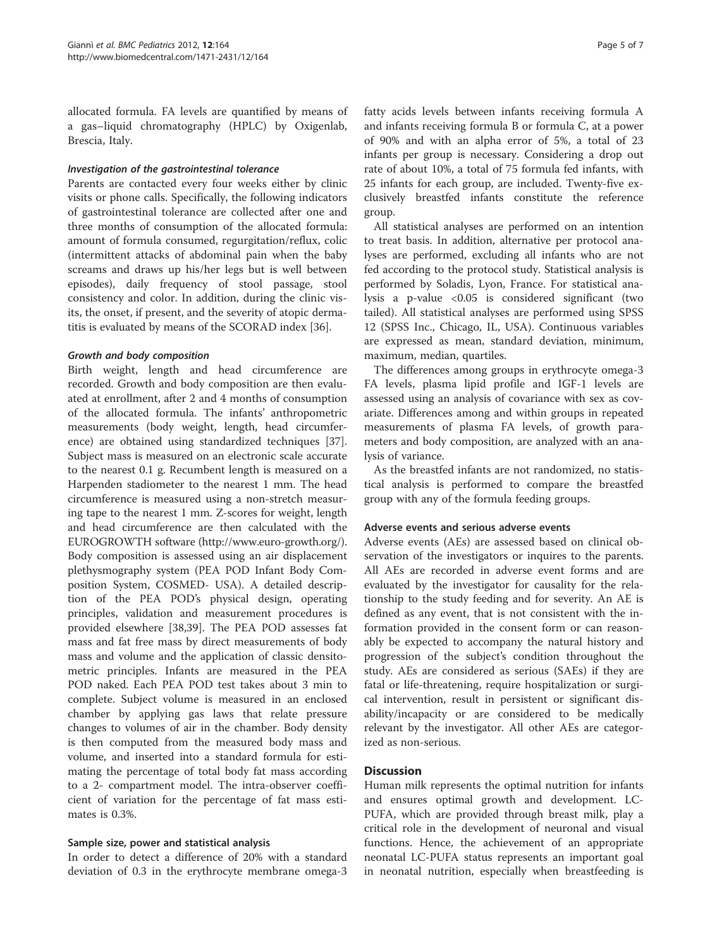allocated formula. FA levels are quantified by means of a gas–liquid chromatography (HPLC) by Oxigenlab, Brescia, Italy.

#### Investigation of the gastrointestinal tolerance

Parents are contacted every four weeks either by clinic visits or phone calls. Specifically, the following indicators of gastrointestinal tolerance are collected after one and three months of consumption of the allocated formula: amount of formula consumed, regurgitation/reflux, colic (intermittent attacks of abdominal pain when the baby screams and draws up his/her legs but is well between episodes), daily frequency of stool passage, stool consistency and color. In addition, during the clinic visits, the onset, if present, and the severity of atopic dermatitis is evaluated by means of the SCORAD index [\[36](#page-6-0)].

#### Growth and body composition

Birth weight, length and head circumference are recorded. Growth and body composition are then evaluated at enrollment, after 2 and 4 months of consumption of the allocated formula. The infants' anthropometric measurements (body weight, length, head circumference) are obtained using standardized techniques [\[37](#page-6-0)]. Subject mass is measured on an electronic scale accurate to the nearest 0.1 g. Recumbent length is measured on a Harpenden stadiometer to the nearest 1 mm. The head circumference is measured using a non-stretch measuring tape to the nearest 1 mm. Z-scores for weight, length and head circumference are then calculated with the EUROGROWTH software [\(http://www.euro-growth.org/](http://www.euro-growth.org/)). Body composition is assessed using an air displacement plethysmography system (PEA POD Infant Body Composition System, COSMED- USA). A detailed description of the PEA POD's physical design, operating principles, validation and measurement procedures is provided elsewhere [\[38,39](#page-6-0)]. The PEA POD assesses fat mass and fat free mass by direct measurements of body mass and volume and the application of classic densitometric principles. Infants are measured in the PEA POD naked. Each PEA POD test takes about 3 min to complete. Subject volume is measured in an enclosed chamber by applying gas laws that relate pressure changes to volumes of air in the chamber. Body density is then computed from the measured body mass and volume, and inserted into a standard formula for estimating the percentage of total body fat mass according to a 2- compartment model. The intra-observer coefficient of variation for the percentage of fat mass estimates is 0.3%.

#### Sample size, power and statistical analysis

In order to detect a difference of 20% with a standard deviation of 0.3 in the erythrocyte membrane omega-3 fatty acids levels between infants receiving formula A and infants receiving formula B or formula C, at a power of 90% and with an alpha error of 5%, a total of 23 infants per group is necessary. Considering a drop out rate of about 10%, a total of 75 formula fed infants, with 25 infants for each group, are included. Twenty-five exclusively breastfed infants constitute the reference group.

All statistical analyses are performed on an intention to treat basis. In addition, alternative per protocol analyses are performed, excluding all infants who are not fed according to the protocol study. Statistical analysis is performed by Soladis, Lyon, France. For statistical analysis a p-value <0.05 is considered significant (two tailed). All statistical analyses are performed using SPSS 12 (SPSS Inc., Chicago, IL, USA). Continuous variables are expressed as mean, standard deviation, minimum, maximum, median, quartiles.

The differences among groups in erythrocyte omega-3 FA levels, plasma lipid profile and IGF-1 levels are assessed using an analysis of covariance with sex as covariate. Differences among and within groups in repeated measurements of plasma FA levels, of growth parameters and body composition, are analyzed with an analysis of variance.

As the breastfed infants are not randomized, no statistical analysis is performed to compare the breastfed group with any of the formula feeding groups.

#### Adverse events and serious adverse events

Adverse events (AEs) are assessed based on clinical observation of the investigators or inquires to the parents. All AEs are recorded in adverse event forms and are evaluated by the investigator for causality for the relationship to the study feeding and for severity. An AE is defined as any event, that is not consistent with the information provided in the consent form or can reasonably be expected to accompany the natural history and progression of the subject's condition throughout the study. AEs are considered as serious (SAEs) if they are fatal or life-threatening, require hospitalization or surgical intervention, result in persistent or significant disability/incapacity or are considered to be medically relevant by the investigator. All other AEs are categorized as non-serious.

# **Discussion**

Human milk represents the optimal nutrition for infants and ensures optimal growth and development. LC-PUFA, which are provided through breast milk, play a critical role in the development of neuronal and visual functions. Hence, the achievement of an appropriate neonatal LC-PUFA status represents an important goal in neonatal nutrition, especially when breastfeeding is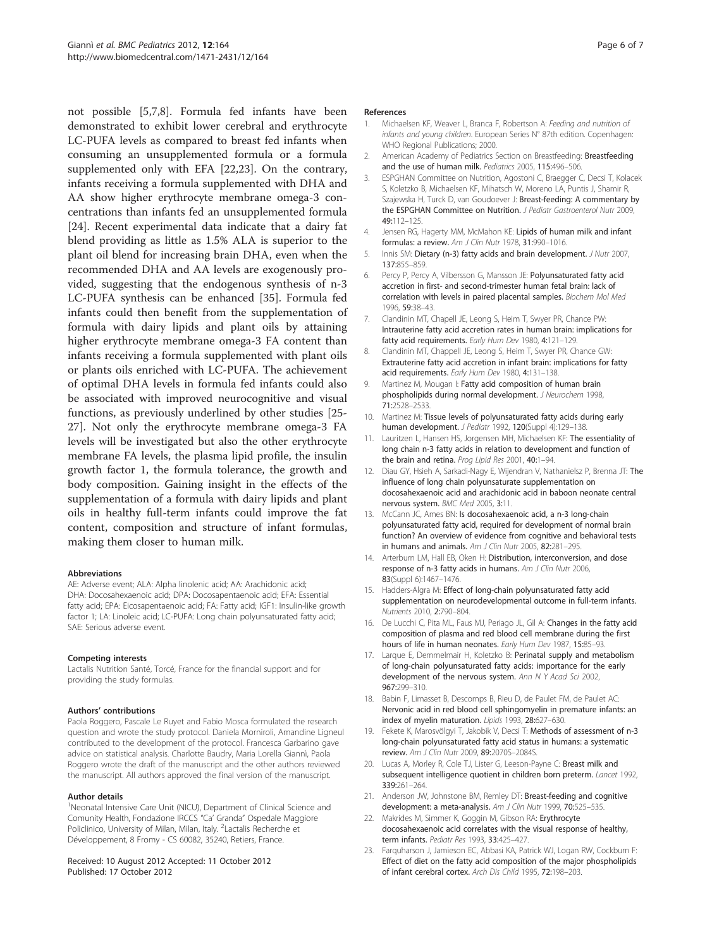<span id="page-5-0"></span>not possible [5,7,8]. Formula fed infants have been demonstrated to exhibit lower cerebral and erythrocyte LC-PUFA levels as compared to breast fed infants when consuming an unsupplemented formula or a formula supplemented only with EFA [22,23]. On the contrary, infants receiving a formula supplemented with DHA and AA show higher erythrocyte membrane omega-3 concentrations than infants fed an unsupplemented formula [[24\]](#page-6-0). Recent experimental data indicate that a dairy fat blend providing as little as 1.5% ALA is superior to the plant oil blend for increasing brain DHA, even when the recommended DHA and AA levels are exogenously provided, suggesting that the endogenous synthesis of n-3 LC-PUFA synthesis can be enhanced [\[35](#page-6-0)]. Formula fed infants could then benefit from the supplementation of formula with dairy lipids and plant oils by attaining higher erythrocyte membrane omega-3 FA content than infants receiving a formula supplemented with plant oils or plants oils enriched with LC-PUFA. The achievement of optimal DHA levels in formula fed infants could also be associated with improved neurocognitive and visual functions, as previously underlined by other studies [\[25-](#page-6-0) [27\]](#page-6-0). Not only the erythrocyte membrane omega-3 FA levels will be investigated but also the other erythrocyte membrane FA levels, the plasma lipid profile, the insulin growth factor 1, the formula tolerance, the growth and body composition. Gaining insight in the effects of the supplementation of a formula with dairy lipids and plant oils in healthy full-term infants could improve the fat content, composition and structure of infant formulas, making them closer to human milk.

#### Abbreviations

AE: Adverse event; ALA: Alpha linolenic acid; AA: Arachidonic acid; DHA: Docosahexaenoic acid; DPA: Docosapentaenoic acid; EFA: Essential fatty acid; EPA: Eicosapentaenoic acid; FA: Fatty acid; IGF1: Insulin-like growth factor 1; LA: Linoleic acid; LC-PUFA: Long chain polyunsaturated fatty acid; SAE: Serious adverse event.

#### Competing interests

Lactalis Nutrition Santé, Torcé, France for the financial support and for providing the study formulas.

#### Authors' contributions

Paola Roggero, Pascale Le Ruyet and Fabio Mosca formulated the research question and wrote the study protocol. Daniela Morniroli, Amandine Ligneul contributed to the development of the protocol. Francesca Garbarino gave advice on statistical analysis. Charlotte Baudry, Maria Lorella Giannì, Paola Roggero wrote the draft of the manuscript and the other authors reviewed the manuscript. All authors approved the final version of the manuscript.

#### Author details

<sup>1</sup>Neonatal Intensive Care Unit (NICU), Department of Clinical Science and Comunity Health, Fondazione IRCCS "Ca' Granda" Ospedale Maggiore Policlinico, University of Milan, Milan, Italy. <sup>2</sup> Lactalis Recherche et Développement, 8 Fromy - CS 60082, 35240, Retiers, France.

Received: 10 August 2012 Accepted: 11 October 2012 Published: 17 October 2012

#### References

- 1. Michaelsen KF, Weaver L, Branca F, Robertson A: Feeding and nutrition of infants and young children. European Series N° 87th edition. Copenhagen: WHO Regional Publications: 2000.
- 2. American Academy of Pediatrics Section on Breastfeeding: Breastfeeding and the use of human milk. Pediatrics 2005, 115:496–506.
- 3. ESPGHAN Committee on Nutrition, Agostoni C, Braegger C, Decsi T, Kolacek S, Koletzko B, Michaelsen KF, Mihatsch W, Moreno LA, Puntis J, Shamir R, Szajewska H, Turck D, van Goudoever J: Breast-feeding: A commentary by the ESPGHAN Committee on Nutrition. J Pediatr Gastroenterol Nutr 2009, 49:112–125.
- 4. Jensen RG, Hagerty MM, McMahon KE: Lipids of human milk and infant formulas: a review. Am J Clin Nutr 1978, 31:990–1016.
- 5. Innis SM: Dietary (n-3) fatty acids and brain development. J Nutr 2007, 137:855–859.
- 6. Percy P, Percy A, Vilbersson G, Mansson JE: Polyunsaturated fatty acid accretion in first- and second-trimester human fetal brain: lack of correlation with levels in paired placental samples. Biochem Mol Med 1996, 59:38–43.
- 7. Clandinin MT, Chapell JE, Leong S, Heim T, Swyer PR, Chance PW: Intrauterine fatty acid accretion rates in human brain: implications for fatty acid requirements. Early Hum Dev 1980, 4:121-129.
- 8. Clandinin MT, Chappell JE, Leong S, Heim T, Swyer PR, Chance GW: Extrauterine fatty acid accretion in infant brain: implications for fatty acid requirements. Early Hum Dev 1980, 4:131-138.
- 9. Martinez M, Mougan I: Fatty acid composition of human brain phospholipids during normal development. J Neurochem 1998, 71:2528–2533.
- 10. Martinez M: Tissue levels of polyunsaturated fatty acids during early human development. J Pediatr 1992, 120(Suppl 4):129-138.
- 11. Lauritzen L, Hansen HS, Jorgensen MH, Michaelsen KF: The essentiality of long chain n-3 fatty acids in relation to development and function of the brain and retina. Prog Lipid Res 2001, 40:1-94.
- 12. Diau GY, Hsieh A, Sarkadi-Nagy E, Wijendran V, Nathanielsz P, Brenna JT: The influence of long chain polyunsaturate supplementation on docosahexaenoic acid and arachidonic acid in baboon neonate central nervous system. BMC Med 2005, 3:11.
- 13. McCann JC, Ames BN: Is docosahexaenoic acid, a n-3 long-chain polyunsaturated fatty acid, required for development of normal brain function? An overview of evidence from cognitive and behavioral tests in humans and animals. Am J Clin Nutr 2005, 82:281-295.
- 14. Arterburn LM, Hall EB, Oken H: Distribution, interconversion, and dose response of n-3 fatty acids in humans. Am J Clin Nutr 2006, 83(Suppl 6):1467–1476.
- 15. Hadders-Algra M: Effect of long-chain polyunsaturated fatty acid supplementation on neurodevelopmental outcome in full-term infants. Nutrients 2010, 2:790–804.
- 16. De Lucchi C, Pita ML, Faus MJ, Periago JL, Gil A: Changes in the fatty acid composition of plasma and red blood cell membrane during the first hours of life in human neonates. Early Hum Dev 1987, 15:85-93.
- 17. Larque E, Demmelmair H, Koletzko B: Perinatal supply and metabolism of long-chain polyunsaturated fatty acids: importance for the early development of the nervous system. Ann N Y Acad Sci 2002, 967:299–310.
- 18. Babin F, Limasset B, Descomps B, Rieu D, de Paulet FM, de Paulet AC: Nervonic acid in red blood cell sphingomyelin in premature infants: an index of myelin maturation. Lipids 1993, 28:627–630.
- 19. Fekete K, Marosvölgyi T, Jakobik V, Decsi T: Methods of assessment of n-3 long-chain polyunsaturated fatty acid status in humans: a systematic review. Am J Clin Nutr 2009, 89:2070S–2084S.
- Lucas A, Morley R, Cole TJ, Lister G, Leeson-Payne C: Breast milk and subsequent intelligence quotient in children born preterm. Lancet 1992, 339:261–264.
- 21. Anderson JW, Johnstone BM, Remley DT: Breast-feeding and cognitive development: a meta-analysis. Am J Clin Nutr 1999, 70:525-535.
- 22. Makrides M, Simmer K, Goggin M, Gibson RA: Erythrocyte docosahexaenoic acid correlates with the visual response of healthy, term infants. Pediatr Res 1993, 33:425–427.
- 23. Farquharson J, Jamieson EC, Abbasi KA, Patrick WJ, Logan RW, Cockburn F: Effect of diet on the fatty acid composition of the major phospholipids of infant cerebral cortex. Arch Dis Child 1995, 72:198–203.